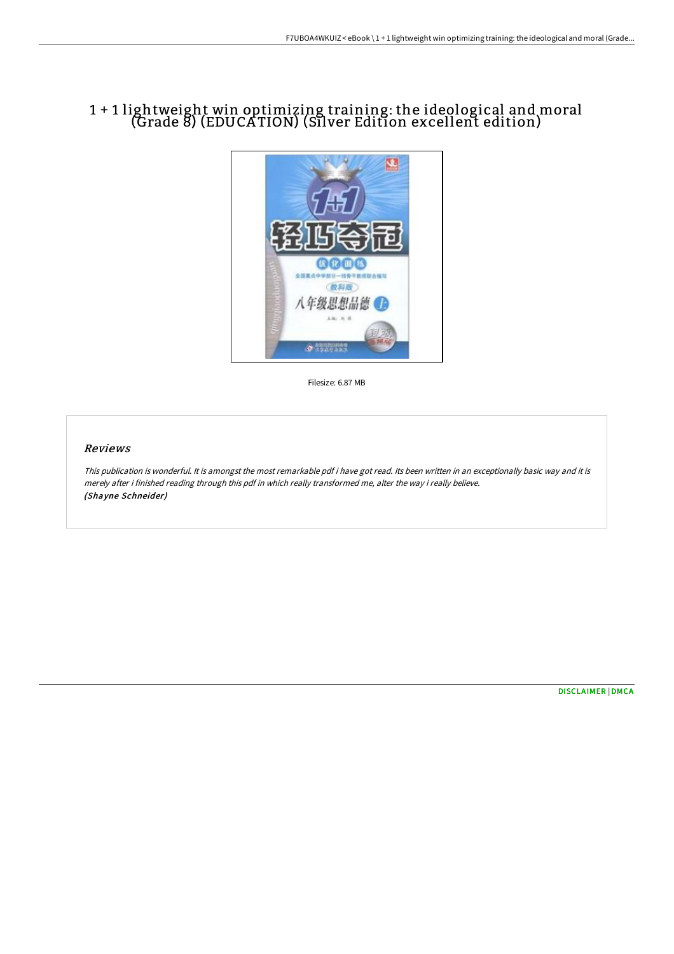## 1 + 1 lightweight win optimizing training: the ideological and moral (Grade 8) (EDUCA TION) (Silver Edition excellent edition)



Filesize: 6.87 MB

### Reviews

This publication is wonderful. It is amongst the most remarkable pdf i have got read. Its been written in an exceptionally basic way and it is merely after i finished reading through this pdf in which really transformed me, alter the way i really believe. (Shayne Schneider)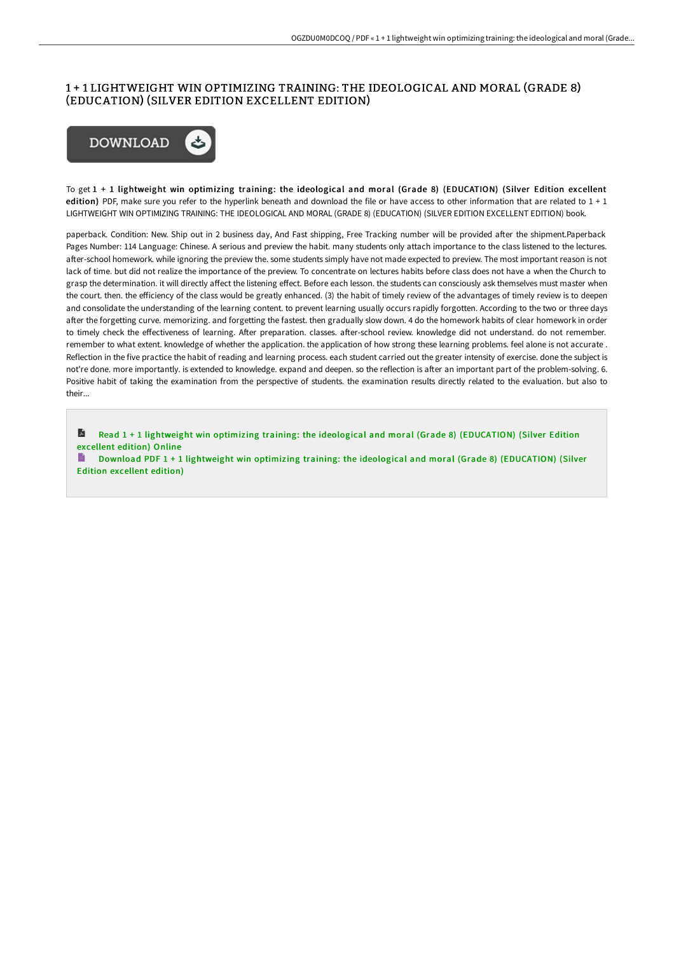#### 1 + 1 LIGHTWEIGHT WIN OPTIMIZING TRAINING: THE IDEOLOGICAL AND MORAL (GRADE 8) (EDUCATION) (SILVER EDITION EXCELLENT EDITION)



To get 1 + 1 lightweight win optimizing training: the ideological and moral (Grade 8) (EDUCATION) (Silver Edition excellent edition) PDF, make sure you refer to the hyperlink beneath and download the file or have access to other information that are related to  $1 + 1$ LIGHTWEIGHT WIN OPTIMIZING TRAINING: THE IDEOLOGICAL AND MORAL (GRADE 8) (EDUCATION) (SILVER EDITION EXCELLENT EDITION) book.

paperback. Condition: New. Ship out in 2 business day, And Fast shipping, Free Tracking number will be provided after the shipment.Paperback Pages Number: 114 Language: Chinese. A serious and preview the habit. many students only attach importance to the class listened to the lectures. after-school homework. while ignoring the preview the. some students simply have not made expected to preview. The most important reason is not lack of time. but did not realize the importance of the preview. To concentrate on lectures habits before class does not have a when the Church to grasp the determination. it will directly aFect the listening eFect. Before each lesson. the students can consciously ask themselves must master when the court. then. the eFiciency of the class would be greatly enhanced. (3) the habit of timely review of the advantages of timely review is to deepen and consolidate the understanding of the learning content. to prevent learning usually occurs rapidly forgotten. According to the two or three days after the forgetting curve. memorizing. and forgetting the fastest. then gradually slow down. 4 do the homework habits of clear homework in order to timely check the effectiveness of learning. After preparation. classes. after-school review. knowledge did not understand. do not remember. remember to what extent. knowledge of whether the application. the application of how strong these learning problems. feel alone is not accurate . Reflection in the five practice the habit of reading and learning process. each student carried out the greater intensity of exercise. done the subject is not're done. more importantly, is extended to knowledge, expand and deepen, so the reflection is after an important part of the problem-solving. 6. Positive habit of taking the examination from the perspective of students. the examination results directly related to the evaluation. but also to their...

A Read 1 + 1 lightweight win optimizing training: the ideological and moral (Grade 8) [\(EDUCATION\)](http://www.bookdirs.com/1-1-lightweight-win-optimizing-training-the-ideo.html) (Silver Edition excellent edition) Online

目. Download PDF 1 + 1 lightweight win optimizing training: the ideological and moral (Grade 8) [\(EDUCATION\)](http://www.bookdirs.com/1-1-lightweight-win-optimizing-training-the-ideo.html) (Silver Edition excellent edition)